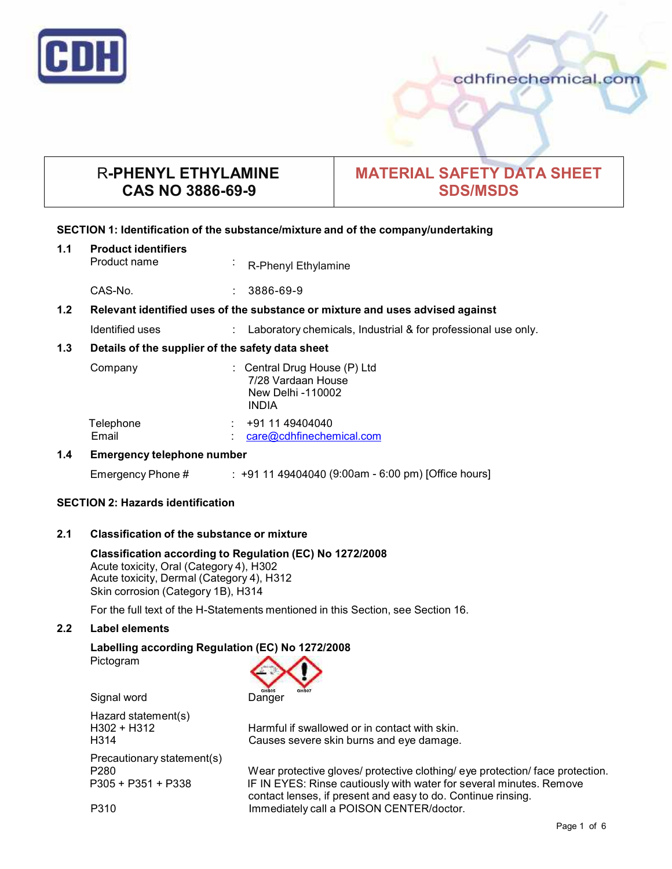

cdhfinechemical.com

# R**-PHENYL ETHYLAMINE CAS NO 3886-69-9**

# **MATERIAL SAFETY DATA SHEET SDS/MSDS**

# **SECTION 1: Identification of the substance/mixture and of the company/undertaking**

# **1.1 Product identifiers**

Product name : R-Phenyl Ethylamine

CAS-No. : 3886-69-9

# **1.2 Relevant identified uses of the substance ormixture and uses advised against**

Identified uses : Laboratory chemicals, Industrial & for professional use only.

# **1.3 Details of the supplier of the safety data sheet**

| Company            | New Delhi -110002<br>INDIA | : Central Drug House $(P)$ Ltd<br>7/28 Vardaan House |
|--------------------|----------------------------|------------------------------------------------------|
| Telephone<br>Email |                            | +91 11 49404040<br>care@cdhfinechemical.com          |

# **1.4 Emergency telephone number**

Emergency Phone # : +91 11 49404040 (9:00am - 6:00 pm) [Office hours]

# **SECTION 2: Hazards identification**

# **2.1 Classification of the substance ormixture**

**Classification according to Regulation (EC) No 1272/2008** Acute toxicity, Oral (Category 4), H302 Acute toxicity, Dermal (Category 4), H312 Skin corrosion (Category 1B), H314

For the full text of the H-Statements mentioned in this Section, see Section 16.

# **2.2 Label elements**

# **Labelling according Regulation (EC) No 1272/2008** Pictogram

Signal word Danger

Hazard statement(s) Precautionary statement(s)

H302 + H312 Harmful if swallowed or in contact with skin. H314 Causes severe skin burns and eye damage.

P280 Wear protective gloves/ protective clothing/ eye protection/ face protection. P305 + P351 + P338 IF IN EYES: Rinse cautiously with water for several minutes. Remove contact lenses, if present and easy to do. Continue rinsing. P310 **Immediately call a POISON CENTER/doctor.**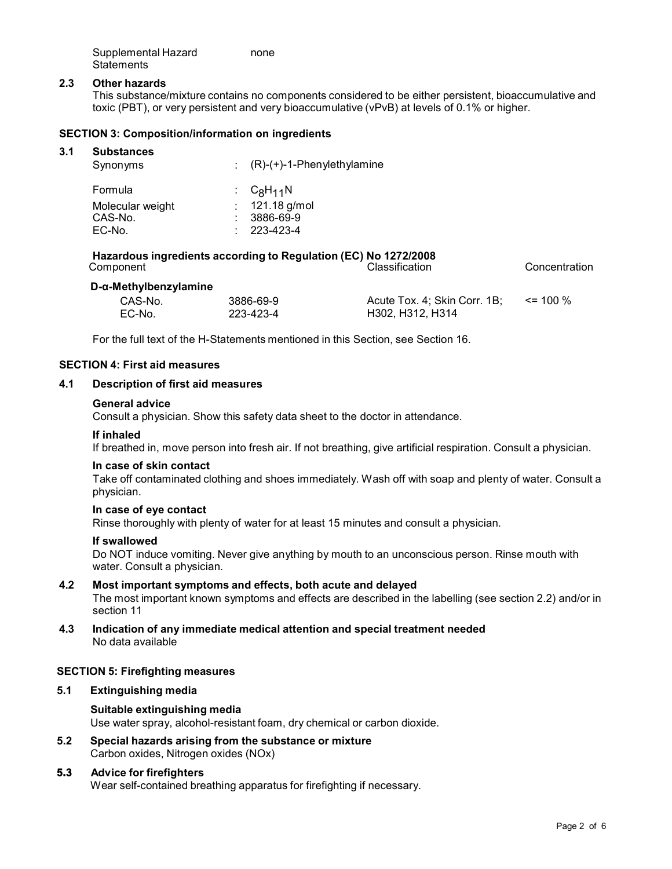| Supplemental Hazard | none |
|---------------------|------|
| <b>Statements</b>   |      |

## **2.3 Other hazards**

This substance/mixture contains no components considered to be either persistent, bioaccumulative and toxic (PBT), or very persistent and very bioaccumulative (vPvB) at levels of 0.1% or higher.

### **SECTION 3: Composition/information on ingredients**

| 3.1 | <b>Substances</b><br>Synonyms |    | $(0, 0)$ (+)-1-Phenylethylamine |
|-----|-------------------------------|----|---------------------------------|
|     | Formula                       |    | : $C_8H_{11}N$                  |
|     | Molecular weight              | ÷. | 121.18 g/mol                    |
|     | CAS-No.                       |    | 3886-69-9                       |
|     | EC-No.                        |    | 223-423-4                       |

**Hazardous ingredients according to Regulation (EC) No 1272/2008** Component Classification Concentration

#### **D-α-Methylbenzylamine**

| CAS-No. | 3886-69-9 | Acute Tox. 4; Skin Corr. 1B; $\le$ 100 % |  |
|---------|-----------|------------------------------------------|--|
| EC-No.  | 223-423-4 | H302, H312, H314                         |  |

For the full text of the H-Statements mentioned in this Section, see Section 16.

## **SECTION 4: First aid measures**

### **4.1 Description of first aid measures**

### **General advice**

Consult a physician. Show this safety data sheet to the doctor in attendance.

#### **If inhaled**

If breathed in, move person into fresh air. If not breathing, give artificial respiration. Consult a physician.

### **In case of skin contact**

Take off contaminated clothing and shoes immediately. Wash off with soap and plenty of water. Consult a physician.

#### **In case of eye contact**

Rinse thoroughly with plenty of water for at least 15 minutes and consult a physician.

#### **If swallowed**

Do NOT induce vomiting. Never give anything by mouth to an unconscious person. Rinse mouth with water. Consult a physician.

# **4.2 Most important symptoms and effects, both acute and delayed**

The most important known symptoms and effects are described in the labelling (see section 2.2) and/or in section 11

**4.3 Indication of any immediate medical attention and special treatment needed** No data available

### **SECTION 5: Firefighting measures**

# **5.1 Extinguishing media**

# **Suitable extinguishing media** Use water spray, alcohol-resistant foam, dry chemical or carbon dioxide.

**5.2 Special hazards arising from the substance ormixture** Carbon oxides, Nitrogen oxides (NOx)

# **5.3 Advice for firefighters**

Wear self-contained breathing apparatus for firefighting if necessary.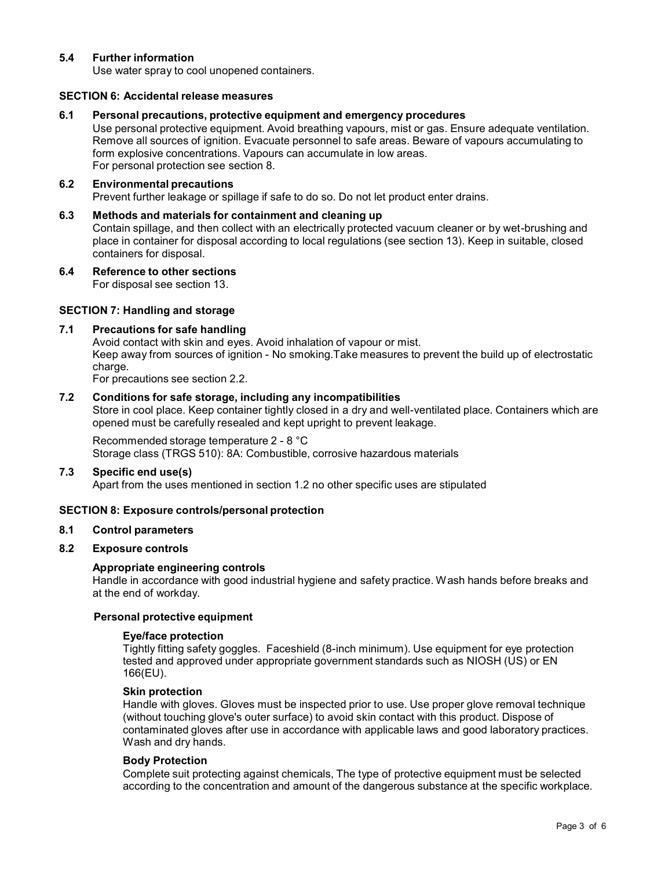# **5.4 Further information**

Use water spray to cool unopened containers.

## **SECTION 6: Accidental release measures**

### **6.1 Personal precautions, protective equipment and emergency procedures**

Use personal protective equipment. Avoid breathing vapours, mist or gas. Ensure adequate ventilation. Remove all sources of ignition. Evacuate personnel to safe areas. Beware of vapours accumulating to form explosive concentrations. Vapours can accumulate in low areas. For personal protection see section 8.

# **6.2 Environmental precautions**

Prevent further leakage or spillage if safe to do so. Do not let product enter drains.

# **6.3 Methods and materials for containment and cleaning up**

Contain spillage, and then collect with an electrically protected vacuum cleaner or by wet-brushing and place in container for disposal according to local regulations (see section 13). Keep in suitable, closed containers for disposal.

**6.4 Reference to other sections**

For disposal see section 13.

# **SECTION 7: Handling and storage**

### **7.1 Precautions for safe handling**

Avoid contact with skin and eyes. Avoid inhalation of vapour or mist. Keep away from sources of ignition - No smoking.Take measures to prevent the build up of electrostatic charge.

For precautions see section 2.2.

# **7.2 Conditions for safe storage, including any incompatibilities**

Store in cool place. Keep container tightly closed in a dry and well-ventilated place. Containers which are opened must be carefully resealed and kept upright to prevent leakage.

# Recommended storage temperature 2 - 8 °C

Storage class (TRGS 510): 8A: Combustible, corrosive hazardous materials

#### **7.3 Specific end use(s)**

Apart from the uses mentioned in section 1.2 no other specific uses are stipulated

# **SECTION 8: Exposure controls/personal protection**

#### **8.1 Control parameters**

# **8.2 Exposure controls**

# **Appropriate engineering controls**

Handle in accordance with good industrial hygiene and safety practice. Wash hands before breaks and at the end of workday.

### **Personal protective equipment**

#### **Eye/face protection**

Tightly fitting safety goggles. Faceshield (8-inch minimum). Use equipment for eye protection tested and approved under appropriate government standards such as NIOSH (US) or EN 166(EU).

#### **Skin protection**

Handle with gloves. Gloves must be inspected prior to use. Use proper glove removal technique (without touching glove's outer surface) to avoid skin contact with this product. Dispose of contaminated gloves after use in accordance with applicable laws and good laboratory practices. Wash and dry hands.

#### **Body Protection**

Complete suit protecting against chemicals, The type of protective equipment must be selected according to the concentration and amount of the dangerous substance at the specific workplace.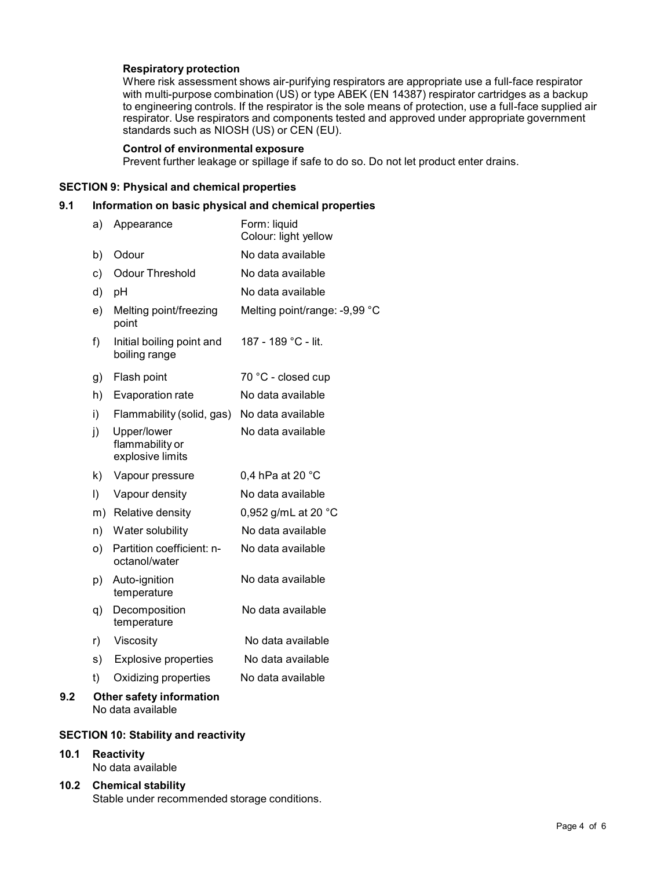# **Respiratory protection**

Where risk assessment shows air-purifying respirators are appropriate use a full-face respirator with multi-purpose combination (US) or type ABEK (EN 14387) respirator cartridges as a backup to engineering controls. If the respirator is the sole means of protection, use a full-face supplied air respirator. Use respirators and components tested and approved under appropriate government standards such as NIOSH (US) or CEN (EU).

### **Control of environmental exposure**

Prevent further leakage or spillage if safe to do so. Do not let product enter drains.

# **SECTION 9: Physical and chemical properties**

# **9.1 Information on basic physical and chemical properties**

|     | a) | Appearance                                         | Form: liquid<br>Colour: light yellow |
|-----|----|----------------------------------------------------|--------------------------------------|
|     | b) | Odour                                              | No data available                    |
|     | c) | <b>Odour Threshold</b>                             | No data available                    |
|     | d) | pH                                                 | No data available                    |
|     | e) | Melting point/freezing<br>point                    | Melting point/range: -9,99 °C        |
|     | f) | Initial boiling point and<br>boiling range         | 187 - 189 °C - lit.                  |
|     | g) | Flash point                                        | 70 °C - closed cup                   |
|     | h) | Evaporation rate                                   | No data available                    |
|     | i) | Flammability (solid, gas)                          | No data available                    |
|     | j) | Upper/lower<br>flammability or<br>explosive limits | No data available                    |
|     | k) | Vapour pressure                                    | 0,4 hPa at 20 $^{\circ}$ C           |
|     | I) | Vapour density                                     | No data available                    |
|     |    | m) Relative density                                | 0,952 g/mL at 20 °C                  |
|     | n) | Water solubility                                   | No data available                    |
|     | O) | Partition coefficient: n-<br>octanol/water         | No data available                    |
|     | p) | Auto-ignition<br>temperature                       | No data available                    |
|     | q) | Decomposition<br>temperature                       | No data available                    |
|     | r) | Viscosity                                          | No data available                    |
|     | s) | <b>Explosive properties</b>                        | No data available                    |
|     | t) | Oxidizing properties                               | No data available                    |
| 9.2 |    | <b>Other safety information</b>                    |                                      |

# No data available

# **SECTION 10: Stability and reactivity**

# **10.1 Reactivity** No data available

**10.2 Chemical stability** Stable under recommended storage conditions.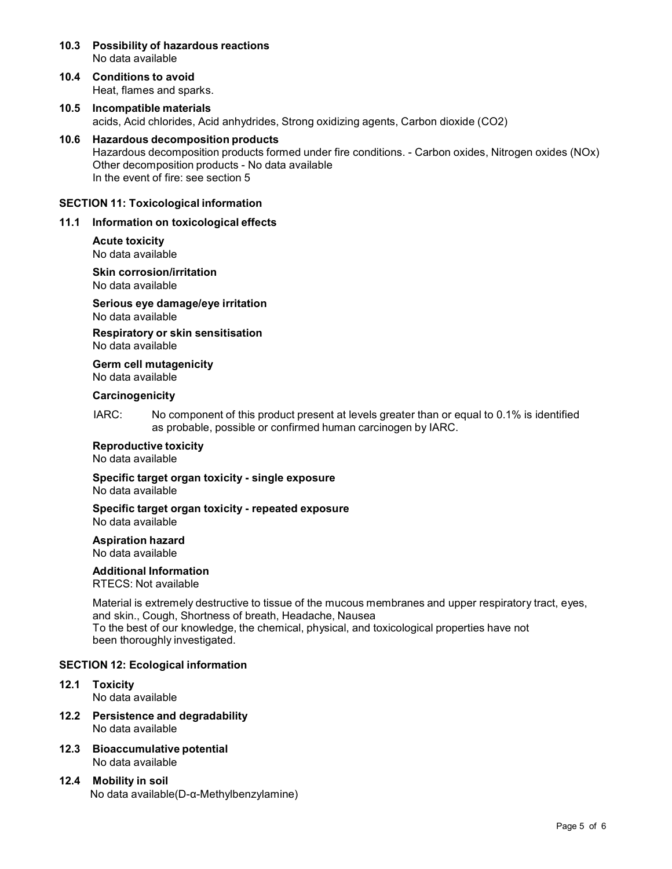- **10.3 Possibility of hazardous reactions** No data available
- **10.4 Conditions to avoid** Heat, flames and sparks.
- **10.5 Incompatible materials** acids, Acid chlorides, Acid anhydrides, Strong oxidizing agents, Carbon dioxide (CO2)
- **10.6 Hazardous decomposition products** Hazardous decomposition products formed under fire conditions. - Carbon oxides, Nitrogen oxides (NOx) Other decomposition products - No data available In the event of fire: see section 5

### **SECTION 11: Toxicological information**

### **11.1 Information on toxicological effects**

# **Acute toxicity**

No data available

**Skin corrosion/irritation** No data available

**Serious eye damage/eye irritation** No data available

**Respiratory orskin sensitisation** No data available

**Germ cell mutagenicity** No data available

### **Carcinogenicity**

IARC: No component of this product present at levels greater than or equal to 0.1% is identified as probable, possible or confirmed human carcinogen by IARC.

# **Reproductive toxicity**

No data available

**Specific target organ toxicity - single exposure** No data available

#### **Specific target organ toxicity - repeated exposure** No data available

**Aspiration hazard** No data available

# **Additional Information**

RTECS: Not available

Material is extremely destructive to tissue of the mucous membranes and upper respiratory tract, eyes, and skin., Cough, Shortness of breath, Headache, Nausea To the best of our knowledge, the chemical, physical, and toxicological properties have not been thoroughly investigated.

# **SECTION 12: Ecological information**

- **12.1 Toxicity** No data available
- **12.2 Persistence and degradability** No data available
- **12.3 Bioaccumulative potential** No data available
- **12.4 Mobility in soil** No data available(D-α-Methylbenzylamine)